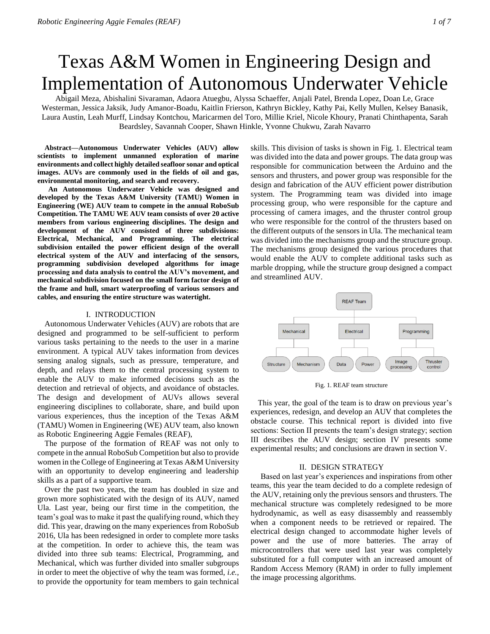# Texas A&M Women in Engineering Design and Implementation of Autonomous Underwater Vehicle

Abigail Meza, Abishalini Sivaraman, Adaora Atuegbu, Alyssa Schaeffer, Anjali Patel, Brenda Lopez, Doan Le, Grace Westerman, Jessica Jaksik, Judy Amanor-Boadu, Kaitlin Frierson, Kathryn Bickley, Kathy Pai, Kelly Mullen, Kelsey Banasik, Laura Austin, Leah Murff, Lindsay Kontchou, Maricarmen del Toro, Millie Kriel, Nicole Khoury, Pranati Chinthapenta, Sarah Beardsley, Savannah Cooper, Shawn Hinkle, Yvonne Chukwu, Zarah Navarro

**Abstract—Autonomous Underwater Vehicles (AUV) allow scientists to implement unmanned exploration of marine environments and collect highly detailed seafloor sonar and optical images. AUVs are commonly used in the fields of oil and gas, environmental monitoring, and search and recovery.**

 **An Autonomous Underwater Vehicle was designed and developed by the Texas A&M University (TAMU) Women in Engineering (WE) AUV team to compete in the annual RoboSub Competition. The TAMU WE AUV team consists of over 20 active members from various engineering disciplines. The design and development of the AUV consisted of three subdivisions: Electrical, Mechanical, and Programming. The electrical subdivision entailed the power efficient design of the overall electrical system of the AUV and interfacing of the sensors, programming subdivision developed algorithms for image processing and data analysis to control the AUV's movement, and mechanical subdivision focused on the small form factor design of the frame and hull, smart waterproofing of various sensors and cables, and ensuring the entire structure was watertight.**

#### I. INTRODUCTION

Autonomous Underwater Vehicles (AUV) are robots that are designed and programmed to be self-sufficient to perform various tasks pertaining to the needs to the user in a marine environment. A typical AUV takes information from devices sensing analog signals, such as pressure, temperature, and depth, and relays them to the central processing system to enable the AUV to make informed decisions such as the detection and retrieval of objects, and avoidance of obstacles. The design and development of AUVs allows several engineering disciplines to collaborate, share, and build upon various experiences, thus the inception of the Texas A&M (TAMU) Women in Engineering (WE) AUV team, also known as Robotic Engineering Aggie Females (REAF),

The purpose of the formation of REAF was not only to compete in the annual RoboSub Competition but also to provide women in the College of Engineering at Texas A&M University with an opportunity to develop engineering and leadership skills as a part of a supportive team.

Over the past two years, the team has doubled in size and grown more sophisticated with the design of its AUV, named Ula. Last year, being our first time in the competition, the team's goal was to make it past the qualifying round, which they did. This year, drawing on the many experiences from RoboSub 2016, Ula has been redesigned in order to complete more tasks at the competition. In order to achieve this, the team was divided into three sub teams: Electrical, Programming, and Mechanical, which was further divided into smaller subgroups in order to meet the objective of why the team was formed, *i.e.,* to provide the opportunity for team members to gain technical

skills. This division of tasks is shown in Fig. 1. Electrical team was divided into the data and power groups. The data group was responsible for communication between the Arduino and the sensors and thrusters, and power group was responsible for the design and fabrication of the AUV efficient power distribution system. The Programming team was divided into image processing group, who were responsible for the capture and processing of camera images, and the thruster control group who were responsible for the control of the thrusters based on the different outputs of the sensors in Ula. The mechanical team was divided into the mechanisms group and the structure group. The mechanisms group designed the various procedures that would enable the AUV to complete additional tasks such as marble dropping, while the structure group designed a compact and streamlined AUV.



Fig. 1. REAF team structure

This year, the goal of the team is to draw on previous year's experiences, redesign, and develop an AUV that completes the obstacle course. This technical report is divided into five sections: Section II presents the team's design strategy; section III describes the AUV design; section IV presents some experimental results; and conclusions are drawn in section V.

#### II. DESIGN STRATEGY

 Based on last year's experiences and inspirations from other teams, this year the team decided to do a complete redesign of the AUV, retaining only the previous sensors and thrusters. The mechanical structure was completely redesigned to be more hydrodynamic, as well as easy disassembly and reassembly when a component needs to be retrieved or repaired. The electrical design changed to accommodate higher levels of power and the use of more batteries. The array of microcontrollers that were used last year was completely substituted for a full computer with an increased amount of Random Access Memory (RAM) in order to fully implement the image processing algorithms.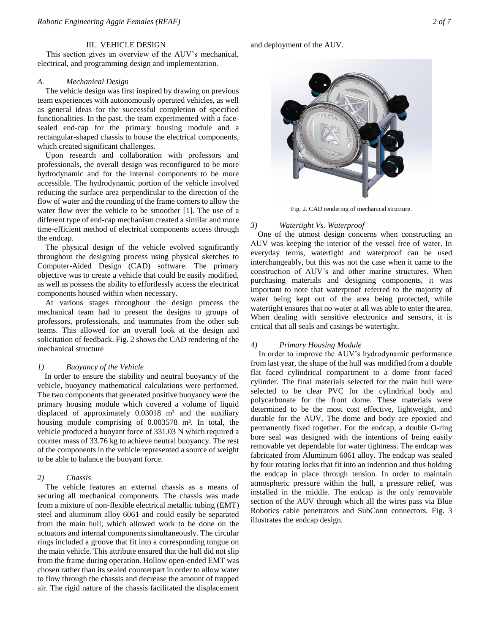# III. VEHICLE DESIGN

This section gives an overview of the AUV's mechanical, electrical, and programming design and implementation.

## *A. Mechanical Design*

The vehicle design was first inspired by drawing on previous team experiences with autonomously operated vehicles, as well as general ideas for the successful completion of specified functionalities. In the past, the team experimented with a facesealed end-cap for the primary housing module and a rectangular-shaped chassis to house the electrical components, which created significant challenges.

Upon research and collaboration with professors and professionals, the overall design was reconfigured to be more hydrodynamic and for the internal components to be more accessible. The hydrodynamic portion of the vehicle involved reducing the surface area perpendicular to the direction of the flow of water and the rounding of the frame corners to allow the water flow over the vehicle to be smoother [1]. The use of a different type of end-cap mechanism created a similar and more time-efficient method of electrical components access through the endcap.

The physical design of the vehicle evolved significantly throughout the designing process using physical sketches to Computer-Aided Design (CAD) software. The primary objective was to create a vehicle that could be easily modified, as well as possess the ability to effortlessly access the electrical components housed within when necessary.

At various stages throughout the design process the mechanical team had to present the designs to groups of professors, professionals, and teammates from the other sub teams. This allowed for an overall look at the design and solicitation of feedback. Fig. 2 shows the CAD rendering of the mechanical structure

#### *1) Buoyancy of the Vehicle*

In order to ensure the stability and neutral buoyancy of the vehicle, buoyancy mathematical calculations were performed. The two components that generated positive buoyancy were the primary housing module which covered a volume of liquid displaced of approximately  $0.03018$  m<sup>3</sup> and the auxiliary housing module comprising of 0.003578 m<sup>3</sup>. In total, the vehicle produced a buoyant force of 331.03 N which required a counter mass of 33.76 kg to achieve neutral buoyancy. The rest of the components in the vehicle represented a source of weight to be able to balance the buoyant force.

# *2) Chassis*

The vehicle features an external chassis as a means of securing all mechanical components. The chassis was made from a mixture of non-flexible electrical metallic tubing (EMT) steel and aluminum alloy 6061 and could easily be separated from the main hull, which allowed work to be done on the actuators and internal components simultaneously. The circular rings included a groove that fit into a corresponding tongue on the main vehicle. This attribute ensured that the hull did not slip from the frame during operation. Hollow open-ended EMT was chosen rather than its sealed counterpart in order to allow water to flow through the chassis and decrease the amount of trapped air. The rigid nature of the chassis facilitated the displacement and deployment of the AUV.



Fig. 2. CAD rendering of mechanical structure.

#### *3) Watertight Vs. Waterproof*

One of the utmost design concerns when constructing an AUV was keeping the interior of the vessel free of water. In everyday terms, watertight and waterproof can be used interchangeably, but this was not the case when it came to the construction of AUV's and other marine structures. When purchasing materials and designing components, it was important to note that waterproof referred to the majority of water being kept out of the area being protected, while watertight ensures that no water at all was able to enter the area. When dealing with sensitive electronics and sensors, it is critical that all seals and casings be watertight.

## *4) Primary Housing Module*

In order to improve the AUV's hydrodynamic performance from last year, the shape of the hull was modified from a double flat faced cylindrical compartment to a dome front faced cylinder. The final materials selected for the main hull were selected to be clear PVC for the cylindrical body and polycarbonate for the front dome. These materials were determined to be the most cost effective, lightweight, and durable for the AUV. The dome and body are epoxied and permanently fixed together. For the endcap, a double O-ring bore seal was designed with the intentions of being easily removable yet dependable for water tightness. The endcap was fabricated from Aluminum 6061 alloy. The endcap was sealed by four rotating locks that fit into an indention and thus holding the endcap in place through tension. In order to maintain atmospheric pressure within the hull, a pressure relief, was installed in the middle. The endcap is the only removable section of the AUV through which all the wires pass via Blue Robotics cable penetrators and SubConn connectors. Fig. 3 illustrates the endcap design.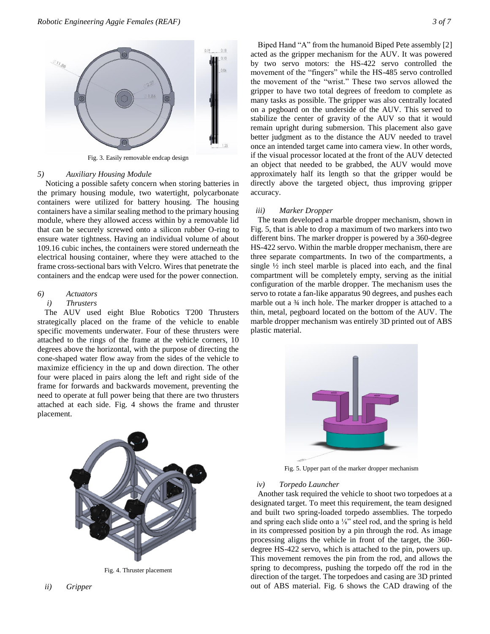

Fig. 3. Easily removable endcap design

#### *5) Auxiliary Housing Module*

Noticing a possible safety concern when storing batteries in the primary housing module, two watertight, polycarbonate containers were utilized for battery housing. The housing containers have a similar sealing method to the primary housing module, where they allowed access within by a removable lid that can be securely screwed onto a silicon rubber O-ring to ensure water tightness. Having an individual volume of about 109.16 cubic inches, the containers were stored underneath the electrical housing container, where they were attached to the frame cross-sectional bars with Velcro. Wires that penetrate the containers and the endcap were used for the power connection.

# *6) Actuators*

## *i) Thrusters*

The AUV used eight Blue Robotics T200 Thrusters strategically placed on the frame of the vehicle to enable specific movements underwater. Four of these thrusters were attached to the rings of the frame at the vehicle corners, 10 degrees above the horizontal, with the purpose of directing the cone-shaped water flow away from the sides of the vehicle to maximize efficiency in the up and down direction. The other four were placed in pairs along the left and right side of the frame for forwards and backwards movement, preventing the need to operate at full power being that there are two thrusters attached at each side. Fig. 4 shows the frame and thruster placement.



Fig. 4. Thruster placement

Biped Hand "A" from the humanoid Biped Pete assembly [2] acted as the gripper mechanism for the AUV. It was powered by two servo motors: the HS-422 servo controlled the movement of the "fingers" while the HS-485 servo controlled the movement of the "wrist." These two servos allowed the gripper to have two total degrees of freedom to complete as many tasks as possible. The gripper was also centrally located on a pegboard on the underside of the AUV. This served to stabilize the center of gravity of the AUV so that it would remain upright during submersion. This placement also gave

better judgment as to the distance the AUV needed to travel once an intended target came into camera view. In other words, if the visual processor located at the front of the AUV detected an object that needed to be grabbed, the AUV would move approximately half its length so that the gripper would be directly above the targeted object, thus improving gripper accuracy.

## *iii) Marker Dropper*

The team developed a marble dropper mechanism, shown in Fig. 5, that is able to drop a maximum of two markers into two different bins. The marker dropper is powered by a 360-degree HS-422 servo. Within the marble dropper mechanism, there are three separate compartments. In two of the compartments, a single  $\frac{1}{2}$  inch steel marble is placed into each, and the final compartment will be completely empty, serving as the initial configuration of the marble dropper. The mechanism uses the servo to rotate a fan-like apparatus 90 degrees, and pushes each marble out a ¾ inch hole. The marker dropper is attached to a thin, metal, pegboard located on the bottom of the AUV. The marble dropper mechanism was entirely 3D printed out of ABS plastic material.



Fig. 5. Upper part of the marker dropper mechanism

#### *iv) Torpedo Launcher*

Another task required the vehicle to shoot two torpedoes at a designated target. To meet this requirement, the team designed and built two spring-loaded torpedo assemblies. The torpedo and spring each slide onto a ⅛" steel rod, and the spring is held in its compressed position by a pin through the rod. As image processing aligns the vehicle in front of the target, the 360 degree HS-422 servo, which is attached to the pin, powers up. This movement removes the pin from the rod, and allows the spring to decompress, pushing the torpedo off the rod in the direction of the target. The torpedoes and casing are 3D printed out of ABS material. Fig. 6 shows the CAD drawing of the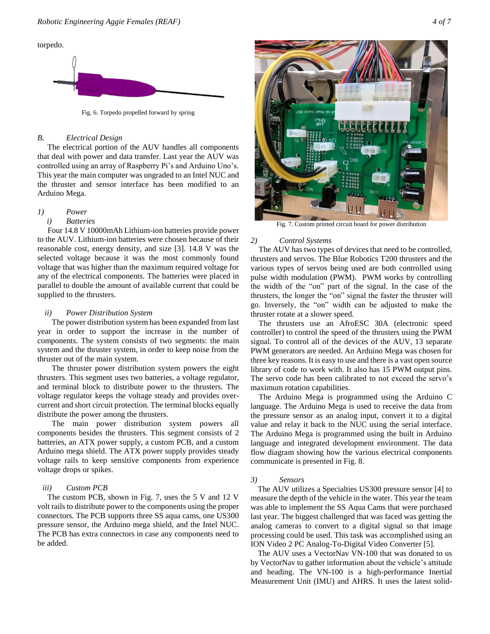

Fig. 6. Torpedo propelled forward by spring

## *B. Electrical Design*

 The electrical portion of the AUV handles all components that deal with power and data transfer. Last year the AUV was controlled using an array of Raspberry Pi's and Arduino Uno's. This year the main computer was ungraded to an Intel NUC and the thruster and sensor interface has been modified to an Arduino Mega.

# *1) Power*

#### *i) Batteries*

 Four 14.8 V 10000mAh Lithium-ion batteries provide power to the AUV. Lithium-ion batteries were chosen because of their reasonable cost, energy density, and size [3]. 14.8 V was the selected voltage because it was the most commonly found voltage that was higher than the maximum required voltage for any of the electrical components. The batteries were placed in parallel to double the amount of available current that could be supplied to the thrusters.

## *ii) Power Distribution System*

The power distribution system has been expanded from last year in order to support the increase in the number of components. The system consists of two segments: the main system and the thruster system, in order to keep noise from the thruster out of the main system.

The thruster power distribution system powers the eight thrusters. This segment uses two batteries, a voltage regulator, and terminal block to distribute power to the thrusters. The voltage regulator keeps the voltage steady and provides overcurrent and short circuit protection. The terminal blocks equally distribute the power among the thrusters.

The main power distribution system powers all components besides the thrusters. This segment consists of 2 batteries, an ATX power supply, a custom PCB, and a custom Arduino mega shield. The ATX power supply provides steady voltage rails to keep sensitive components from experience voltage drops or spikes.

# *iii) Custom PCB*

 The custom PCB, shown in Fig. 7, uses the 5 V and 12 V volt rails to distribute power to the components using the proper connectors. The PCB supports three SS aqua cams, one US300 pressure sensor, the Arduino mega shield, and the Intel NUC. The PCB has extra connectors in case any components need to be added.



Fig. 7. Custom printed circuit board for power distribution

#### *2) Control Systems*

The AUV has two types of devices that need to be controlled, thrusters and servos. The Blue Robotics T200 thrusters and the various types of servos being used are both controlled using pulse width modulation (PWM). PWM works by controlling the width of the "on" part of the signal. In the case of the thrusters, the longer the "on" signal the faster the thruster will go. Inversely, the "on" width can be adjusted to make the thruster rotate at a slower speed.

The thrusters use an AfroESC 30A (electronic speed controller) to control the speed of the thrusters using the PWM signal. To control all of the devices of the AUV, 13 separate PWM generators are needed. An Arduino Mega was chosen for three key reasons. It is easy to use and there is a vast open source library of code to work with. It also has 15 PWM output pins. The servo code has been calibrated to not exceed the servo's maximum rotation capabilities.

The Arduino Mega is programmed using the Arduino C language. The Arduino Mega is used to receive the data from the pressure sensor as an analog input, convert it to a digital value and relay it back to the NUC using the serial interface. The Arduino Mega is programmed using the built in Arduino language and integrated development environment. The data flow diagram showing how the various electrical components communicate is presented in Fig. 8.

# *3) Sensors*

The AUV utilizes a Specialties US300 pressure sensor [4] to measure the depth of the vehicle in the water. This year the team was able to implement the SS Aqua Cams that were purchased last year. The biggest challenged that was faced was getting the analog cameras to convert to a digital signal so that image processing could be used. This task was accomplished using an ION Video 2 PC Analog-To-Digital Video Converter [5].

The AUV uses a VectorNav VN-100 that was donated to us by VectorNav to gather information about the vehicle's attitude and heading. The VN-100 is a high-performance Inertial Measurement Unit (IMU) and AHRS. It uses the latest solid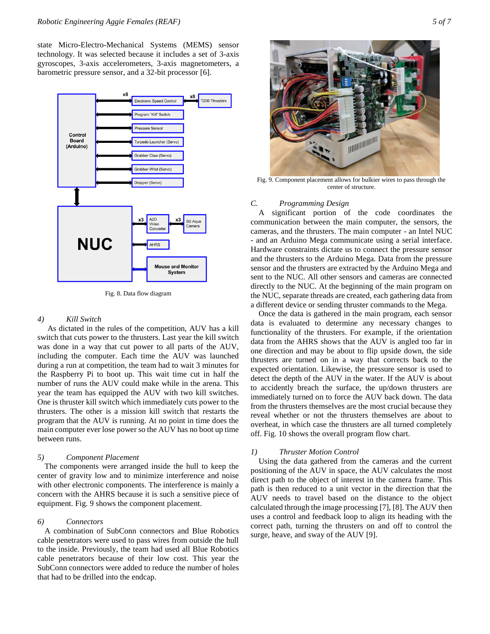state Micro-Electro-Mechanical Systems (MEMS) sensor technology. It was selected because it includes a set of 3-axis gyroscopes, 3-axis accelerometers, 3-axis magnetometers, a barometric pressure sensor, and a 32-bit processor [6].



Fig. 8. Data flow diagram

# *4) Kill Switch*

 As dictated in the rules of the competition, AUV has a kill switch that cuts power to the thrusters. Last year the kill switch was done in a way that cut power to all parts of the AUV, including the computer. Each time the AUV was launched during a run at competition, the team had to wait 3 minutes for the Raspberry Pi to boot up. This wait time cut in half the number of runs the AUV could make while in the arena. This year the team has equipped the AUV with two kill switches. One is thruster kill switch which immediately cuts power to the thrusters. The other is a mission kill switch that restarts the program that the AUV is running. At no point in time does the main computer ever lose power so the AUV has no boot up time between runs.

## *5) Component Placement*

The components were arranged inside the hull to keep the center of gravity low and to minimize interference and noise with other electronic components. The interference is mainly a concern with the AHRS because it is such a sensitive piece of equipment. Fig. 9 shows the component placement.

## *6) Connectors*

A combination of SubConn connectors and Blue Robotics cable penetrators were used to pass wires from outside the hull to the inside. Previously, the team had used all Blue Robotics cable penetrators because of their low cost. This year the SubConn connectors were added to reduce the number of holes that had to be drilled into the endcap.



Fig. 9. Component placement allows for bulkier wires to pass through the center of structure.

# *C. Programming Design*

A significant portion of the code coordinates the communication between the main computer, the sensors, the cameras, and the thrusters. The main computer - an Intel NUC - and an Arduino Mega communicate using a serial interface. Hardware constraints dictate us to connect the pressure sensor and the thrusters to the Arduino Mega. Data from the pressure sensor and the thrusters are extracted by the Arduino Mega and sent to the NUC. All other sensors and cameras are connected directly to the NUC. At the beginning of the main program on the NUC, separate threads are created, each gathering data from a different device or sending thruster commands to the Mega.

Once the data is gathered in the main program, each sensor data is evaluated to determine any necessary changes to functionality of the thrusters. For example, if the orientation data from the AHRS shows that the AUV is angled too far in one direction and may be about to flip upside down, the side thrusters are turned on in a way that corrects back to the expected orientation. Likewise, the pressure sensor is used to detect the depth of the AUV in the water. If the AUV is about to accidently breach the surface, the up/down thrusters are immediately turned on to force the AUV back down. The data from the thrusters themselves are the most crucial because they reveal whether or not the thrusters themselves are about to overheat, in which case the thrusters are all turned completely off. Fig. 10 shows the overall program flow chart.

## *1) Thruster Motion Control*

Using the data gathered from the cameras and the current positioning of the AUV in space, the AUV calculates the most direct path to the object of interest in the camera frame. This path is then reduced to a unit vector in the direction that the AUV needs to travel based on the distance to the object calculated through the image processing [7], [8]. The AUV then uses a control and feedback loop to align its heading with the correct path, turning the thrusters on and off to control the surge, heave, and sway of the AUV [9].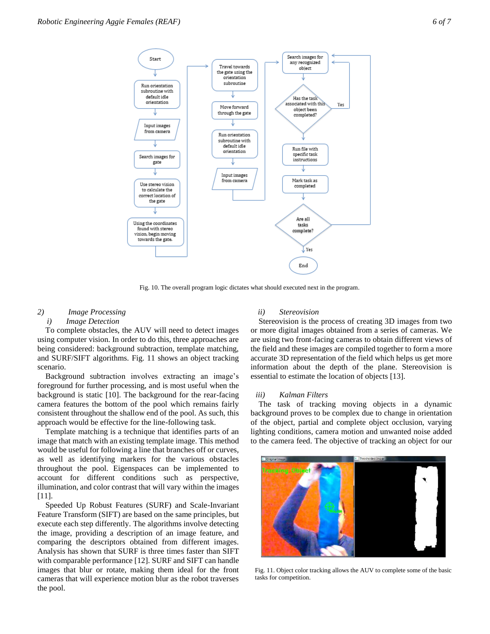

Fig. 10. The overall program logic dictates what should executed next in the program.

# *2) Image Processing*

# *i) Image Detection*

To complete obstacles, the AUV will need to detect images using computer vision. In order to do this, three approaches are being considered: background subtraction, template matching, and SURF/SIFT algorithms. Fig. 11 shows an object tracking scenario.

Background subtraction involves extracting an image's foreground for further processing, and is most useful when the background is static [10]. The background for the rear-facing camera features the bottom of the pool which remains fairly consistent throughout the shallow end of the pool. As such, this approach would be effective for the line-following task.

Template matching is a technique that identifies parts of an image that match with an existing template image. This method would be useful for following a line that branches off or curves, as well as identifying markers for the various obstacles throughout the pool. Eigenspaces can be implemented to account for different conditions such as perspective, illumination, and color contrast that will vary within the images [11].

Speeded Up Robust Features (SURF) and Scale-Invariant Feature Transform (SIFT) are based on the same principles, but execute each step differently. The algorithms involve detecting the image, providing a description of an image feature, and comparing the descriptors obtained from different images. Analysis has shown that SURF is three times faster than SIFT with comparable performance [12]. SURF and SIFT can handle images that blur or rotate, making them ideal for the front cameras that will experience motion blur as the robot traverses the pool.

#### *ii) Stereovision*

Stereovision is the process of creating 3D images from two or more digital images obtained from a series of cameras. We are using two front-facing cameras to obtain different views of the field and these images are compiled together to form a more accurate 3D representation of the field which helps us get more information about the depth of the plane. Stereovision is essential to estimate the location of objects [13].

## *iii) Kalman Filters*

The task of tracking moving objects in a dynamic background proves to be complex due to change in orientation of the object, partial and complete object occlusion, varying lighting conditions, camera motion and unwanted noise added to the camera feed. The objective of tracking an object for our



Fig. 11. Object color tracking allows the AUV to complete some of the basic tasks for competition.